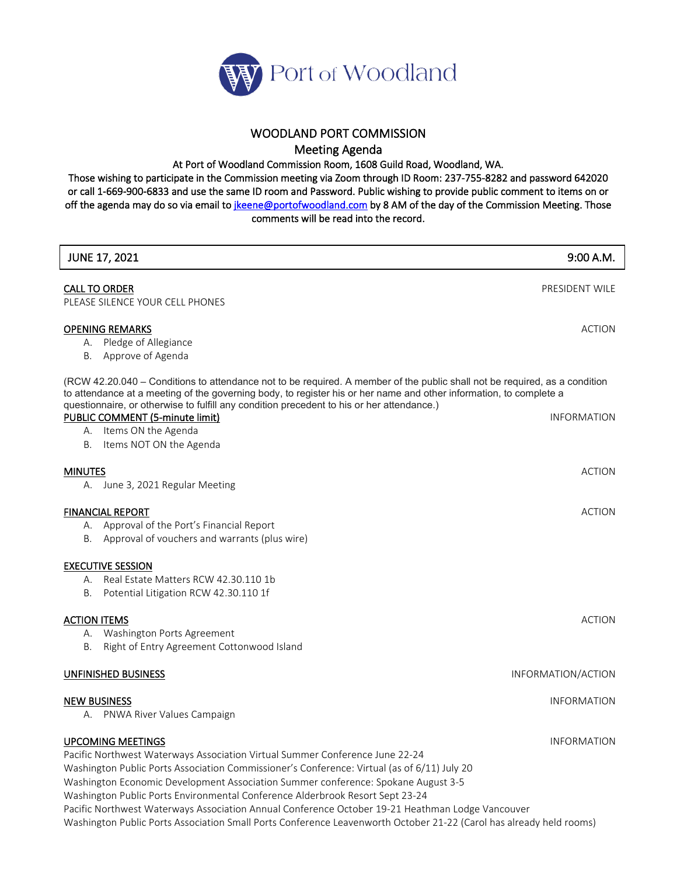

# WOODLAND PORT COMMISSION Meeting Agenda

At Port of Woodland Commission Room, 1608 Guild Road, Woodland, WA.

Those wishing to participate in the Commission meeting via Zoom through ID Room: 237-755-8282 and password 642020 or call 1-669-900-6833 and use the same ID room and Password. Public wishing to provide public comment to items on or off the agenda may do so via email to *jkeene@portofwoodland.com* by 8 AM of the day of the Commission Meeting. Those comments will be read into the record.

| <b>JUNE 17, 2021</b>                                                                                                                                                                                                                                                                                                                                                                                                                                                                                                                                                                                     | 9:00 A.M.          |
|----------------------------------------------------------------------------------------------------------------------------------------------------------------------------------------------------------------------------------------------------------------------------------------------------------------------------------------------------------------------------------------------------------------------------------------------------------------------------------------------------------------------------------------------------------------------------------------------------------|--------------------|
| <b>CALL TO ORDER</b><br>PLEASE SILENCE YOUR CELL PHONES                                                                                                                                                                                                                                                                                                                                                                                                                                                                                                                                                  | PRESIDENT WILE     |
| <b>OPENING REMARKS</b><br>A. Pledge of Allegiance<br>Approve of Agenda<br>В.                                                                                                                                                                                                                                                                                                                                                                                                                                                                                                                             | <b>ACTION</b>      |
| (RCW 42.20.040 - Conditions to attendance not to be required. A member of the public shall not be required, as a condition<br>to attendance at a meeting of the governing body, to register his or her name and other information, to complete a<br>questionnaire, or otherwise to fulfill any condition precedent to his or her attendance.)                                                                                                                                                                                                                                                            |                    |
| PUBLIC COMMENT (5-minute limit)<br>A. Items ON the Agenda<br>Items NOT ON the Agenda<br>В.                                                                                                                                                                                                                                                                                                                                                                                                                                                                                                               | <b>INFORMATION</b> |
| <b>MINUTES</b><br>A. June 3, 2021 Regular Meeting                                                                                                                                                                                                                                                                                                                                                                                                                                                                                                                                                        | <b>ACTION</b>      |
| <b>FINANCIAL REPORT</b><br>A. Approval of the Port's Financial Report<br>Approval of vouchers and warrants (plus wire)<br>В.                                                                                                                                                                                                                                                                                                                                                                                                                                                                             | <b>ACTION</b>      |
| <b>EXECUTIVE SESSION</b><br>Real Estate Matters RCW 42.30.110 1b<br>А.<br>Potential Litigation RCW 42.30.110 1f<br>В.                                                                                                                                                                                                                                                                                                                                                                                                                                                                                    |                    |
| <b>ACTION ITEMS</b><br>A. Washington Ports Agreement<br>Right of Entry Agreement Cottonwood Island<br>В.                                                                                                                                                                                                                                                                                                                                                                                                                                                                                                 | <b>ACTION</b>      |
| UNFINISHED BUSINESS                                                                                                                                                                                                                                                                                                                                                                                                                                                                                                                                                                                      | INFORMATION/ACTION |
| <b>NEW BUSINESS</b><br>PNWA River Values Campaign<br>А.                                                                                                                                                                                                                                                                                                                                                                                                                                                                                                                                                  | <b>INFORMATION</b> |
| <b>UPCOMING MEETINGS</b><br>Pacific Northwest Waterways Association Virtual Summer Conference June 22-24<br>Washington Public Ports Association Commissioner's Conference: Virtual (as of 6/11) July 20<br>Washington Economic Development Association Summer conference: Spokane August 3-5<br>Washington Public Ports Environmental Conference Alderbrook Resort Sept 23-24<br>Pacific Northwest Waterways Association Annual Conference October 19-21 Heathman Lodge Vancouver<br>Washington Public Ports Association Small Ports Conference Leavenworth October 21-22 (Carol has already held rooms) | <b>INFORMATION</b> |